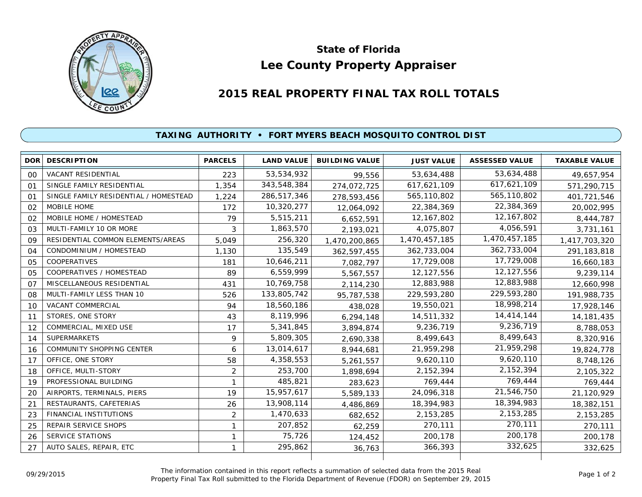

## **Lee County Property Appraiser State of Florida**

## **2015 REAL PROPERTY FINAL TAX ROLL TOTALS**

## **TAXING AUTHORITY • FORT MYERS BEACH MOSQUITO CONTROL DIST**

|                | <b>DOR DESCRIPTION</b>                | <b>PARCELS</b> | <b>LAND VALUE</b> | <b>BUILDING VALUE</b> | <b>JUST VALUE</b> | <b>ASSESSED VALUE</b> | <b>TAXABLE VALUE</b> |
|----------------|---------------------------------------|----------------|-------------------|-----------------------|-------------------|-----------------------|----------------------|
| 00             | <b>VACANT RESIDENTIAL</b>             | 223            | 53,534,932        | 99.556                | 53,634,488        | 53,634,488            | 49,657,954           |
| 01             | SINGLE FAMILY RESIDENTIAL             | 1,354          | 343,548,384       | 274,072,725           | 617,621,109       | 617,621,109           | 571,290,715          |
| 01             | SINGLE FAMILY RESIDENTIAL / HOMESTEAD | 1,224          | 286,517,346       | 278,593,456           | 565,110,802       | 565,110,802           | 401,721,546          |
| 02             | MOBILE HOME                           | 172            | 10,320,277        | 12,064,092            | 22,384,369        | 22,384,369            | 20,002,995           |
| 02             | MOBILE HOME / HOMESTEAD               | 79             | 5,515,211         | 6,652,591             | 12, 167, 802      | 12,167,802            | 8,444,787            |
| 03             | MULTI-FAMILY 10 OR MORE               | 3              | 1,863,570         | 2,193,021             | 4,075,807         | 4,056,591             | 3,731,161            |
| 09             | RESIDENTIAL COMMON ELEMENTS/AREAS     | 5,049          | 256,320           | 1,470,200,865         | 1,470,457,185     | 1,470,457,185         | 1,417,703,320        |
| 04             | CONDOMINIUM / HOMESTEAD               | 1,130          | 135,549           | 362,597,455           | 362,733,004       | 362,733,004           | 291,183,818          |
| 05             | <b>COOPERATIVES</b>                   | 181            | 10,646,211        | 7,082,797             | 17,729,008        | 17,729,008            | 16,660,183           |
| 05             | COOPERATIVES / HOMESTEAD              | 89             | 6,559,999         | 5,567,557             | 12,127,556        | 12,127,556            | 9,239,114            |
| O <sub>7</sub> | MISCELLANEOUS RESIDENTIAL             | 431            | 10,769,758        | 2,114,230             | 12,883,988        | 12,883,988            | 12,660,998           |
| 08             | MULTI-FAMILY LESS THAN 10             | 526            | 133,805,742       | 95,787,538            | 229,593,280       | 229,593,280           | 191,988,735          |
| 10             | VACANT COMMERCIAL                     | 94             | 18,560,186        | 438,028               | 19,550,021        | 18,998,214            | 17,928,146           |
| 11             | STORES, ONE STORY                     | 43             | 8,119,996         | 6,294,148             | 14,511,332        | 14,414,144            | 14, 181, 435         |
| 12             | COMMERCIAL, MIXED USE                 | 17             | 5,341,845         | 3,894,874             | 9,236,719         | 9,236,719             | 8,788,053            |
| 14             | <b>SUPERMARKETS</b>                   | 9              | 5,809,305         | 2,690,338             | 8,499,643         | 8,499,643             | 8,320,916            |
| 16             | COMMUNITY SHOPPING CENTER             | 6              | 13,014,617        | 8,944,681             | 21,959,298        | 21,959,298            | 19,824,778           |
| 17             | OFFICE, ONE STORY                     | 58             | 4,358,553         | 5,261,557             | 9,620,110         | 9,620,110             | 8,748,126            |
| 18             | OFFICE, MULTI-STORY                   | 2              | 253,700           | 1,898,694             | 2,152,394         | 2,152,394             | 2,105,322            |
| 19             | PROFESSIONAL BUILDING                 | 1              | 485,821           | 283,623               | 769,444           | 769,444               | 769,444              |
| 20             | AIRPORTS, TERMINALS, PIERS            | 19             | 15,957,617        | 5,589,133             | 24,096,318        | 21,546,750            | 21,120,929           |
| 21             | RESTAURANTS, CAFETERIAS               | 26             | 13,908,114        | 4,486,869             | 18,394,983        | 18,394,983            | 18,382,151           |
| 23             | FINANCIAL INSTITUTIONS                | $\overline{2}$ | 1,470,633         | 682,652               | 2, 153, 285       | 2, 153, 285           | 2, 153, 285          |
| 25             | <b>REPAIR SERVICE SHOPS</b>           | 1              | 207,852           | 62,259                | 270,111           | 270,111               | 270,111              |
| 26             | <b>SERVICE STATIONS</b>               | 1              | 75,726            | 124,452               | 200,178           | 200,178               | 200,178              |
| 27             | AUTO SALES, REPAIR, ETC               | 1              | 295,862           | 36,763                | 366,393           | 332,625               | 332,625              |
|                |                                       |                |                   |                       |                   |                       |                      |

The information contained in this report reflects a summation of selected data from the 2015 Real Ine information contained in this report reflects a summation of selected data from the 2015 Real<br>Property Final Tax Roll submitted to the Florida Department of Revenue (FDOR) on September 29, 2015